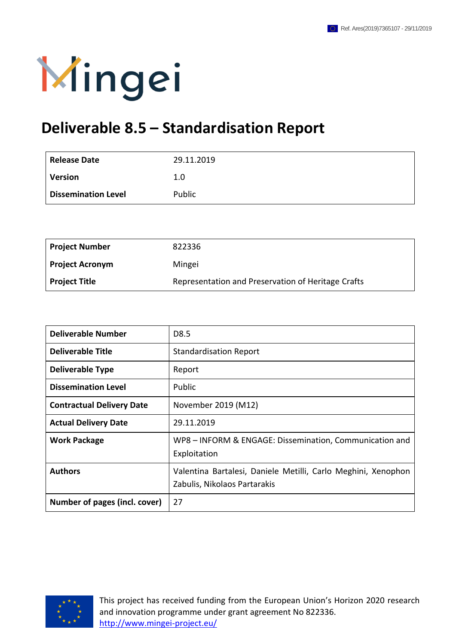

## **Deliverable 8.5 – Standardisation Report**

| <b>Release Date</b>        | 29.11.2019 |
|----------------------------|------------|
| <b>Version</b>             | 1.0        |
| <b>Dissemination Level</b> | Public     |

| <b>Project Number</b>  | 822336                                             |
|------------------------|----------------------------------------------------|
| <b>Project Acronym</b> | Mingei                                             |
| Project Title          | Representation and Preservation of Heritage Crafts |

| <b>Deliverable Number</b>        | D8.5                                                                                          |
|----------------------------------|-----------------------------------------------------------------------------------------------|
| <b>Deliverable Title</b>         | <b>Standardisation Report</b>                                                                 |
| <b>Deliverable Type</b>          | Report                                                                                        |
| <b>Dissemination Level</b>       | Public                                                                                        |
| <b>Contractual Delivery Date</b> | November 2019 (M12)                                                                           |
| <b>Actual Delivery Date</b>      | 29.11.2019                                                                                    |
| <b>Work Package</b>              | WP8 - INFORM & ENGAGE: Dissemination, Communication and<br>Exploitation                       |
| <b>Authors</b>                   | Valentina Bartalesi, Daniele Metilli, Carlo Meghini, Xenophon<br>Zabulis, Nikolaos Partarakis |
| Number of pages (incl. cover)    | 27                                                                                            |



This project has received funding from the European Union's Horizon 2020 research and innovation programme under grant agreement No 822336. <http://www.mingei-project.eu/>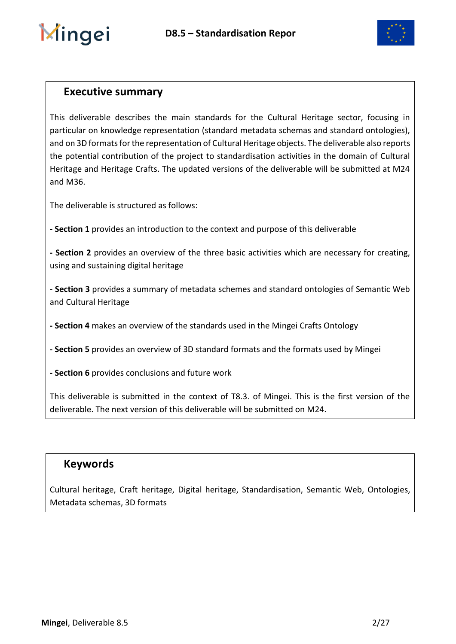

### <span id="page-1-0"></span>**Executive summary**

This deliverable describes the main standards for the Cultural Heritage sector, focusing in particular on knowledge representation (standard metadata schemas and standard ontologies), and on 3D formats for the representation of Cultural Heritage objects. The deliverable also reports the potential contribution of the project to standardisation activities in the domain of Cultural Heritage and Heritage Crafts. The updated versions of the deliverable will be submitted at M24 and M36.

The deliverable is structured as follows:

**- Section 1** provides an introduction to the context and purpose of this deliverable

**- Section 2** provides an overview of the three basic activities which are necessary for creating, using and sustaining digital heritage

**- Section 3** provides a summary of metadata schemes and standard ontologies of Semantic Web and Cultural Heritage

**- Section 4** makes an overview of the standards used in the Mingei Crafts Ontology

**- Section 5** provides an overview of 3D standard formats and the formats used by Mingei

**- Section 6** provides conclusions and future work

This deliverable is submitted in the context of T8.3. of Mingei. This is the first version of the deliverable. The next version of this deliverable will be submitted on M24.

### <span id="page-1-1"></span>**Keywords**

Cultural heritage, Craft heritage, Digital heritage, Standardisation, Semantic Web, Ontologies, Metadata schemas, 3D formats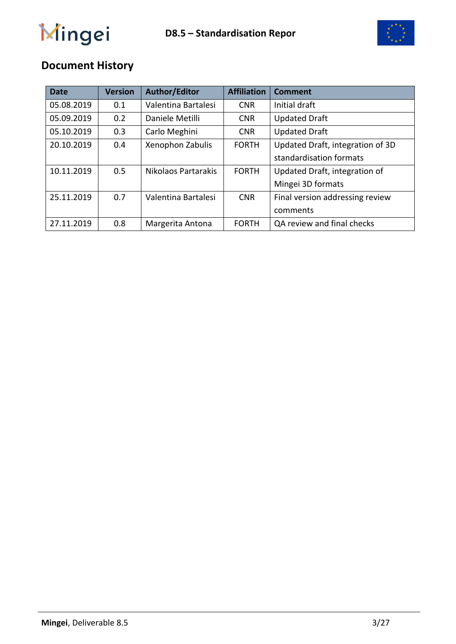



## **Document History**

| <b>Date</b> | <b>Version</b> | <b>Author/Editor</b> | <b>Affiliation</b> | <b>Comment</b>                   |
|-------------|----------------|----------------------|--------------------|----------------------------------|
| 05.08.2019  | 0.1            | Valentina Bartalesi  | <b>CNR</b>         | Initial draft                    |
| 05.09.2019  | 0.2            | Daniele Metilli      | <b>CNR</b>         | <b>Updated Draft</b>             |
| 05.10.2019  | 0.3            | Carlo Meghini        | <b>CNR</b>         | <b>Updated Draft</b>             |
| 20.10.2019  | 0.4            | Xenophon Zabulis     | <b>FORTH</b>       | Updated Draft, integration of 3D |
|             |                |                      |                    | standardisation formats          |
| 10.11.2019  | 0.5            | Nikolaos Partarakis  | <b>FORTH</b>       | Updated Draft, integration of    |
|             |                |                      |                    | Mingei 3D formats                |
| 25.11.2019  | 0.7            | Valentina Bartalesi  | <b>CNR</b>         | Final version addressing review  |
|             |                |                      |                    | comments                         |
| 27.11.2019  | 0.8            | Margerita Antona     | <b>FORTH</b>       | QA review and final checks       |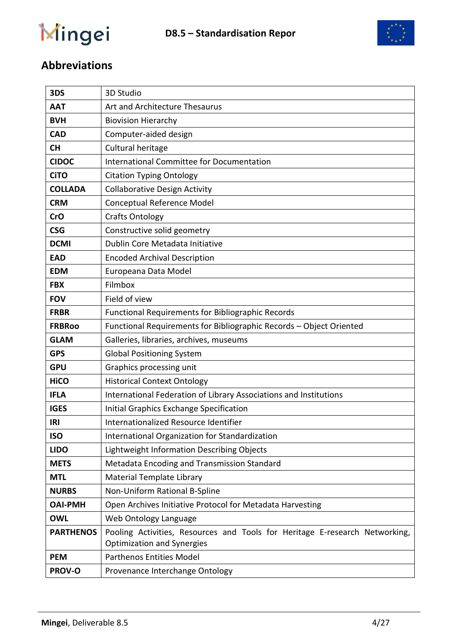

## **Abbreviations**

| 3DS              | 3D Studio                                                                                                        |
|------------------|------------------------------------------------------------------------------------------------------------------|
| <b>AAT</b>       | Art and Architecture Thesaurus                                                                                   |
| <b>BVH</b>       | <b>Biovision Hierarchy</b>                                                                                       |
| <b>CAD</b>       | Computer-aided design                                                                                            |
| <b>CH</b>        | Cultural heritage                                                                                                |
| <b>CIDOC</b>     | International Committee for Documentation                                                                        |
| <b>CiTO</b>      | <b>Citation Typing Ontology</b>                                                                                  |
| <b>COLLADA</b>   | <b>Collaborative Design Activity</b>                                                                             |
| <b>CRM</b>       | Conceptual Reference Model                                                                                       |
| <b>CrO</b>       | <b>Crafts Ontology</b>                                                                                           |
| <b>CSG</b>       | Constructive solid geometry                                                                                      |
| <b>DCMI</b>      | Dublin Core Metadata Initiative                                                                                  |
| <b>EAD</b>       | <b>Encoded Archival Description</b>                                                                              |
| <b>EDM</b>       | Europeana Data Model                                                                                             |
| <b>FBX</b>       | Filmbox                                                                                                          |
| <b>FOV</b>       | Field of view                                                                                                    |
| <b>FRBR</b>      | <b>Functional Requirements for Bibliographic Records</b>                                                         |
| <b>FRBRoo</b>    | Functional Requirements for Bibliographic Records - Object Oriented                                              |
| <b>GLAM</b>      | Galleries, libraries, archives, museums                                                                          |
| <b>GPS</b>       | <b>Global Positioning System</b>                                                                                 |
| <b>GPU</b>       | Graphics processing unit                                                                                         |
| <b>HiCO</b>      | <b>Historical Context Ontology</b>                                                                               |
| <b>IFLA</b>      | International Federation of Library Associations and Institutions                                                |
| <b>IGES</b>      | Initial Graphics Exchange Specification                                                                          |
| <b>IRI</b>       | Internationalized Resource Identifier                                                                            |
| <b>ISO</b>       | International Organization for Standardization                                                                   |
| <b>LIDO</b>      | Lightweight Information Describing Objects                                                                       |
| <b>METS</b>      | Metadata Encoding and Transmission Standard                                                                      |
| <b>MTL</b>       | <b>Material Template Library</b>                                                                                 |
| <b>NURBS</b>     | Non-Uniform Rational B-Spline                                                                                    |
| <b>OAI-PMH</b>   | Open Archives Initiative Protocol for Metadata Harvesting                                                        |
| <b>OWL</b>       | Web Ontology Language                                                                                            |
| <b>PARTHENOS</b> | Pooling Activities, Resources and Tools for Heritage E-research Networking,<br><b>Optimization and Synergies</b> |
| <b>PEM</b>       | <b>Parthenos Entities Model</b>                                                                                  |
| PROV-O           | Provenance Interchange Ontology                                                                                  |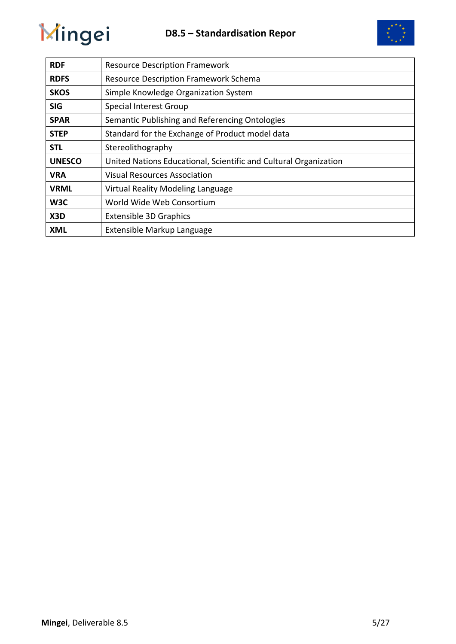

| <b>RDF</b>    | <b>Resource Description Framework</b>                            |
|---------------|------------------------------------------------------------------|
| <b>RDFS</b>   | <b>Resource Description Framework Schema</b>                     |
| <b>SKOS</b>   | Simple Knowledge Organization System                             |
| <b>SIG</b>    | <b>Special Interest Group</b>                                    |
| <b>SPAR</b>   | Semantic Publishing and Referencing Ontologies                   |
| <b>STEP</b>   | Standard for the Exchange of Product model data                  |
| STL           | Stereolithography                                                |
| <b>UNESCO</b> | United Nations Educational, Scientific and Cultural Organization |
| <b>VRA</b>    | <b>Visual Resources Association</b>                              |
| <b>VRML</b>   | Virtual Reality Modeling Language                                |
| W3C           | World Wide Web Consortium                                        |
| X3D           | <b>Extensible 3D Graphics</b>                                    |
| <b>XML</b>    | Extensible Markup Language                                       |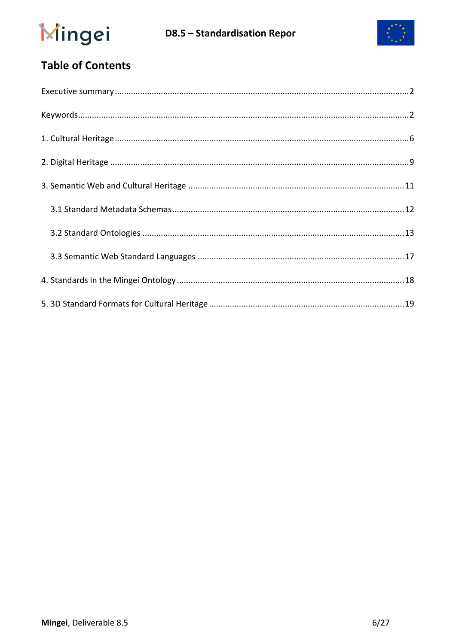



## **Table of Contents**

<span id="page-5-0"></span>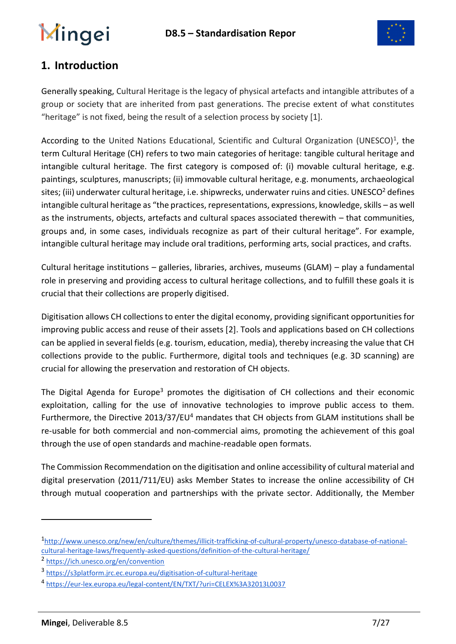

## **1. Introduction**

Generally speaking, Cultural Heritage is the legacy of physical artefacts and intangible attributes of a group or society that are inherited from past generations. The precise extent of what constitutes "heritage" is not fixed, being the result of a selection process by society [1].

According to the United Nations Educational, Scientific and Cultural Organization (UNESCO)<sup>1</sup>, the term Cultural Heritage (CH) refers to two main categories of heritage: tangible cultural heritage and intangible cultural heritage. The first category is composed of: (i) movable cultural heritage, e.g. paintings, sculptures, manuscripts; (ii) immovable cultural heritage, e.g. monuments, archaeological sites; (iii) underwater cultural heritage, i.e. shipwrecks, underwater ruins and cities. UNESCO<sup>2</sup> defines intangible cultural heritage as "the practices, representations, expressions, knowledge, skills – as well as the instruments, objects, artefacts and cultural spaces associated therewith – that communities, groups and, in some cases, individuals recognize as part of their cultural heritage". For example, intangible cultural heritage may include oral traditions, performing arts, social practices, and crafts.

Cultural heritage institutions – galleries, libraries, archives, museums (GLAM) – play a fundamental role in preserving and providing access to cultural heritage collections, and to fulfill these goals it is crucial that their collections are properly digitised.

Digitisation allows CH collections to enter the digital economy, providing significant opportunities for improving public access and reuse of their assets [2]. Tools and applications based on CH collections can be applied in several fields (e.g. tourism, education, media), thereby increasing the value that CH collections provide to the public. Furthermore, digital tools and techniques (e.g. 3D scanning) are crucial for allowing the preservation and restoration of CH objects.

The Digital Agenda for Europe<sup>3</sup> promotes the digitisation of CH collections and their economic exploitation, calling for the use of innovative technologies to improve public access to them. Furthermore, the Directive 2013/37/EU<sup>4</sup> mandates that CH objects from GLAM institutions shall be re-usable for both commercial and non-commercial aims, promoting the achievement of this goal through the use of open standards and machine-readable open formats.

The Commission Recommendation on the digitisation and online accessibility of cultural material and digital preservation (2011/711/EU) asks Member States to increase the online accessibility of CH through mutual cooperation and partnerships with the private sector. Additionally, the Member

1

<sup>1</sup> [http://www.unesco.org/new/en/culture/themes/illicit-trafficking-of-cultural-property/unesco-database-of-national](http://www.unesco.org/new/en/culture/themes/illicit-trafficking-of-cultural-property/unesco-database-of-national-cultural-heritage-laws/frequently-asked-questions/definition-of-the-cultural-heritage/)[cultural-heritage-laws/frequently-asked-questions/definition-of-the-cultural-heritage/](http://www.unesco.org/new/en/culture/themes/illicit-trafficking-of-cultural-property/unesco-database-of-national-cultural-heritage-laws/frequently-asked-questions/definition-of-the-cultural-heritage/)

<sup>2</sup> <https://ich.unesco.org/en/convention>

<sup>3</sup> <https://s3platform.jrc.ec.europa.eu/digitisation-of-cultural-heritage>

<sup>4</sup> <https://eur-lex.europa.eu/legal-content/EN/TXT/?uri=CELEX%3A32013L0037>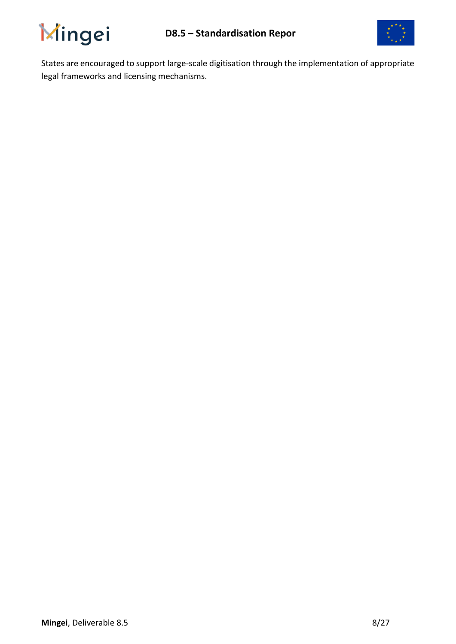



States are encouraged to support large-scale digitisation through the implementation of appropriate legal frameworks and licensing mechanisms.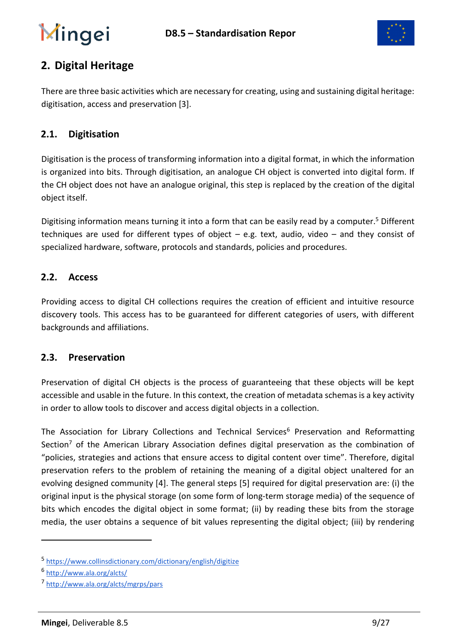

## <span id="page-8-0"></span>**2. Digital Heritage**

There are three basic activities which are necessary for creating, using and sustaining digital heritage: digitisation, access and preservation [3].

### **2.1. Digitisation**

Digitisation is the process of transforming information into [a digital](https://en.wikipedia.org/wiki/Digital_data) format, in which the information is organized into [bits.](https://en.wikipedia.org/wiki/Bit) Through digitisation, an analogue CH object is converted into digital form. If the CH object does not have an analogue original, this step is replaced by the creation of the digital object itself.

Digitising [information](https://www.collinsdictionary.com/dictionary/english/information) [means](https://www.collinsdictionary.com/dictionary/english/mean) turning it into a form that can be [easily](https://www.collinsdictionary.com/dictionary/english/easily) [read](https://www.collinsdictionary.com/dictionary/english/read) by a computer.<sup>5</sup> Different techniques are used for different types of object – e.g. text, audio, video – and they consist of specialized hardware, software, protocols and standards, policies and procedures.

### **2.2. Access**

Providing access to digital CH collections requires the creation of efficient and intuitive resource discovery tools. This access has to be guaranteed for different categories of users, with different backgrounds and affiliations.

#### **2.3. Preservation**

Preservation of digital CH objects is the process of guaranteeing that these objects will be kept accessible and usable in the future. In this context, the creation of metadata schemas is a key activity in order to allow tools to discover and access digital objects in a collection.

The Association for Library Collections and Technical Services<sup>6</sup> Preservation and Reformatting Section<sup>7</sup> of the [American Library Association](https://en.wikipedia.org/wiki/American_Library_Association) defines digital preservation as the combination of "policies, strategies and actions that ensure access to digital content over time". Therefore, digital preservation refers to the problem of retaining the meaning of a digital object unaltered for an evolving designed community [4]. The general steps [5] required for digital preservation are: (i) the original input is the physical storage (on some form of long-term storage media) of the sequence of bits which encodes the digital object in some format; (ii) by reading these bits from the storage media, the user obtains a sequence of bit values representing the digital object; (iii) by rendering

<sup>5</sup> <https://www.collinsdictionary.com/dictionary/english/digitize>

<sup>&</sup>lt;sup>6</sup> <http://www.ala.org/alcts/>

<sup>7</sup> <http://www.ala.org/alcts/mgrps/pars>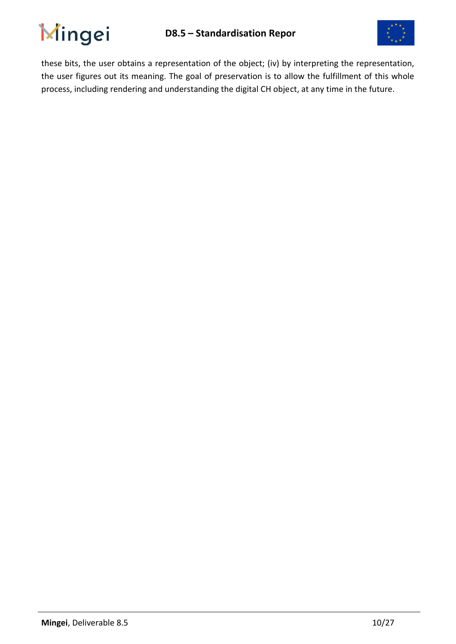

<span id="page-9-0"></span>

these bits, the user obtains a representation of the object; (iv) by interpreting the representation, the user figures out its meaning. The goal of preservation is to allow the fulfillment of this whole process, including rendering and understanding the digital CH object, at any time in the future.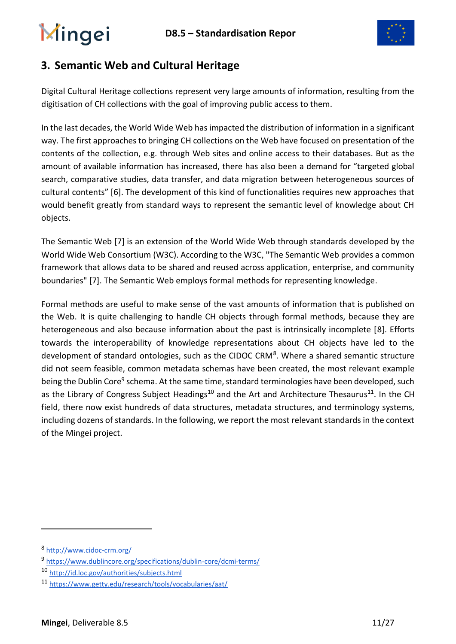

### **3. Semantic Web and Cultural Heritage**

Digital Cultural Heritage collections represent very large amounts of information, resulting from the digitisation of CH collections with the goal of improving public access to them.

In the last decades, the World Wide Web has impacted the distribution of information in a significant way. The first approaches to bringing CH collections on the Web have focused on presentation of the contents of the collection, e.g. through Web sites and online access to their databases. But as the amount of available information has increased, there has also been a demand for "targeted global search, comparative studies, data transfer, and data migration between heterogeneous sources of cultural contents" [6]. The development of this kind of functionalities requires new approaches that would benefit greatly from standard ways to represent the semantic level of knowledge about CH objects.

The Semantic Web [7] is an extension of the [World Wide Web](https://en.wikipedia.org/wiki/World_Wide_Web) through standards developed by the [World Wide Web Consortium](https://en.wikipedia.org/wiki/World_Wide_Web_Consortium) (W3C). According to the W3C, "The Semantic Web provides a common framework that allows data to be shared and reused across application, enterprise, and community boundaries" [7]. The Semantic Web employs formal methods for representing knowledge.

Formal methods are useful to make sense of the vast amounts of information that is published on the Web. It is quite challenging to handle CH objects through formal methods, because they are heterogeneous and also because information about the past is intrinsically incomplete [8]. Efforts towards the interoperability of knowledge representations about CH objects have led to the development of standard ontologies, such as the CIDOC CRM<sup>8</sup>. Where a shared semantic structure did not seem feasible, common metadata schemas have been created, the most relevant example being the Dublin Core<sup>9</sup> schema. At the same time, standard terminologies have been developed, such as the Library of Congress Subject Headings<sup>10</sup> and the Art and Architecture Thesaurus<sup>11</sup>. In the CH field, there now exist hundreds of data structures, metadata structures, and terminology systems, including dozens of standards. In the following, we report the most relevant standards in the context of the Mingei project.

<sup>8</sup> <http://www.cidoc-crm.org/>

<sup>9</sup> <https://www.dublincore.org/specifications/dublin-core/dcmi-terms/>

<sup>10</sup> <http://id.loc.gov/authorities/subjects.html>

<sup>11</sup> <https://www.getty.edu/research/tools/vocabularies/aat/>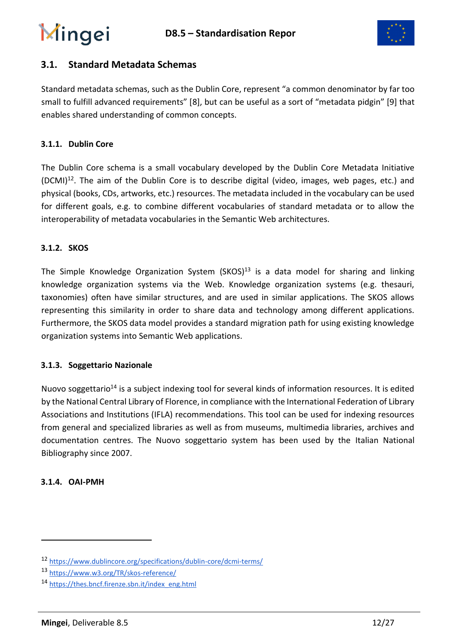

### <span id="page-11-0"></span>**3.1. Standard Metadata Schemas**

Standard metadata schemas, such as the Dublin Core, represent "a common denominator by far too small to fulfill advanced requirements" [8], but can be useful as a sort of "metadata pidgin" [9] that enables shared understanding of common concepts.

#### **3.1.1. Dublin Core**

The Dublin Core schema is a small vocabulary developed by the Dublin Core Metadata Initiative  $(DCMI)<sup>12</sup>$ . The aim of the Dublin Core is to describe digital (video, images, web pages, etc.) and physical (books, CDs, artworks, etc.) resources. The metadata included in the vocabulary can be used for different goals, e.g. to combine different vocabularies of standard metadata or to allow the interoperability of metadata vocabularies in the [Semantic Web](https://en.wikipedia.org/wiki/Semantic_Web) architectures.

#### **3.1.2. SKOS**

The Simple Knowledge Organization System  $(SKOS)^{13}$  is a data model for sharing and linking knowledge organization systems via the Web. Knowledge organization systems (e.g. thesauri, taxonomies) often have similar structures, and are used in similar applications. The SKOS allows representing this similarity in order to share data and technology among different applications. Furthermore, the SKOS data model provides a standard migration path for using existing knowledge organization systems into Semantic Web applications.

#### **3.1.3. Soggettario Nazionale**

Nuovo soggettario<sup>14</sup> is a subject indexing tool for several kinds of information resources. It is edited by the National Central Library of Florence, in compliance with the International Federation of Library Associations and Institutions [\(IFLA\)](http://www.ifla.org/) recommendations. This tool can be used for indexing resources from general and specialized libraries as well as from museums, multimedia libraries, archives and documentation centres. The Nuovo soggettario system has been used by the Italian National Bibliography since 2007.

#### **3.1.4. OAI-PMH**

<sup>12</sup> <https://www.dublincore.org/specifications/dublin-core/dcmi-terms/>

<sup>13</sup> <https://www.w3.org/TR/skos-reference/>

<sup>14</sup> [https://thes.bncf.firenze.sbn.it/index\\_eng.html](https://thes.bncf.firenze.sbn.it/index_eng.html)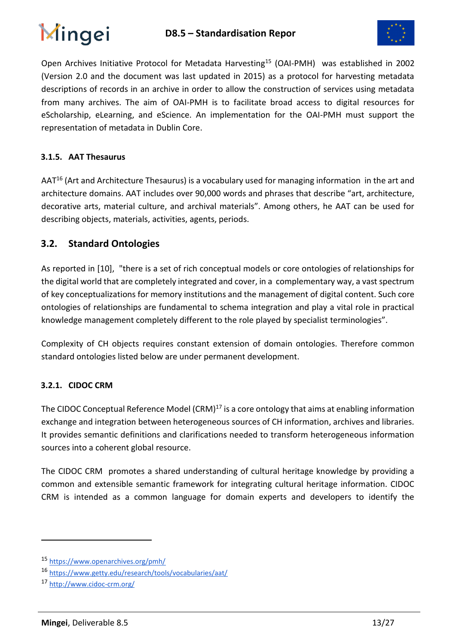

Open Archives Initiative Protocol for Metadata Harvesting<sup>15</sup> (OAI-PMH) was established in 2002 (Version 2.0 and the document was last updated in 2015) as a protocol for harvesting metadata descriptions of records in an archive in order to allow the construction of services using metadata from many archives. The aim of OAI-PMH is to facilitate broad access to digital resources for eScholarship, eLearning, and eScience. An implementation for the OAI-PMH must support the representation of metadata in [Dublin Core.](https://en.wikipedia.org/wiki/Dublin_Core)

#### **3.1.5. AAT Thesaurus**

AAT<sup>16</sup> (Art and Architecture Thesaurus) is a vocabulary used for managing information in the art and architecture domains. AAT includes over 90,000 words and phrases that describe "art, architecture, decorative arts, material culture, and archival materials". Among others, he AAT can be used for describing objects, materials, activities, agents, periods.

### <span id="page-12-0"></span>**3.2. Standard Ontologies**

As reported in [10], "there is a set of rich conceptual models or core ontologies of relationships for the digital world that are completely integrated and cover, in a complementary way, a vast spectrum of key conceptualizations for memory institutions and the management of digital content. Such core ontologies of relationships are fundamental to schema integration and play a vital role in practical knowledge management completely different to the role played by specialist terminologies".

Complexity of CH objects requires constant extension of domain ontologies. Therefore common standard ontologies listed below are under permanent development.

#### **3.2.1. CIDOC CRM**

The CIDOC Conceptual Reference Model  $(CRM)^{17}$  is a core ontology that aims at enabling information exchange and integration between heterogeneous sources of CH information, archives and libraries. It provides semantic definitions and clarifications needed to transform heterogeneous information sources into a coherent global resource.

The CIDOC CRM promotes a shared understanding of cultural heritage knowledge by providing a common and extensible semantic framework for integrating cultural heritage information. CIDOC CRM is intended as a common language for domain experts and developers to identify the

<sup>15</sup> <https://www.openarchives.org/pmh/>

<sup>16</sup> <https://www.getty.edu/research/tools/vocabularies/aat/>

<sup>17</sup> <http://www.cidoc-crm.org/>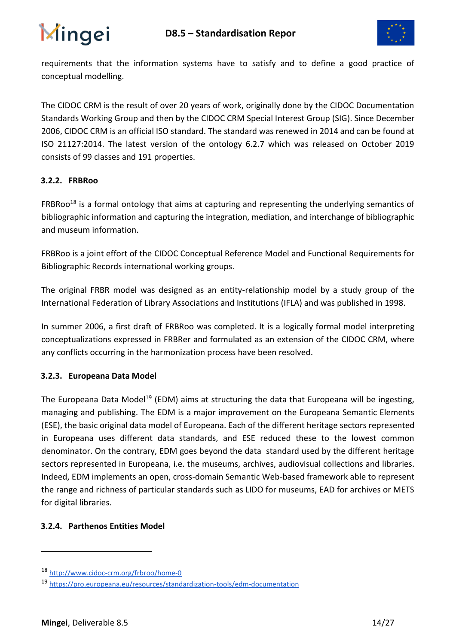



requirements that the information systems have to satisfy and to define a good practice of conceptual modelling.

The CIDOC CRM is the result of over 20 years of work, originally done by the CIDOC Documentation Standards Working Group and then by the CIDOC CRM Special Interest Group (SIG). Since December 2006, CIDOC CRM is an official ISO standard. The standard was renewed in 2014 and can be found at ISO 21127:2014. The latest version of the ontology 6.2.7 which was released on October 2019 consists of 99 classes and 191 properties.

#### **3.2.2. FRBRoo**

FRBRoo<sup>18</sup> is a formal ontology that aims at capturing and representing the underlying semantics of bibliographic information and capturing the integration, mediation, and interchange of bibliographic and museum information.

FRBRoo is a joint effort of the [CIDOC Conceptual Reference Model](https://en.wikipedia.org/wiki/CIDOC_Conceptual_Reference_Model) and [Functional Requirements for](https://en.wikipedia.org/wiki/FRBR)  [Bibliographic Records](https://en.wikipedia.org/wiki/FRBR) international working groups.

The original FRBR model was designed as an entity-relationship model by a study group of the International Federation of Library Associations and Institutions (IFLA) and was published in 1998.

In summer 2006, a first draft of FRBRoo was completed. It is a logically formal model interpreting conceptualizations expressed in FRBRer and formulated as an extension of the CIDOC CRM, where any conflicts occurring in the harmonization process have been resolved.

#### **3.2.3. Europeana Data Model**

The Europeana Data Model<sup>19</sup> (EDM) aims at structuring the data that Europeana will be ingesting, managing and publishing. The EDM is a major improvement on the Europeana Semantic Elements (ESE), the basic original data model of Europeana. Each of the different heritage sectors represented in Europeana uses different data standards, and ESE reduced these to the lowest common denominator. On the contrary, EDM goes beyond the data standard used by the different heritage sectors represented in Europeana, i.e. the museums, archives, audiovisual collections and libraries. Indeed, EDM implements an open, cross-domain Semantic Web-based framework able to represent the range and richness of particular standards such as LIDO for museums, EAD for archives or METS for digital libraries.

#### **3.2.4. Parthenos Entities Model**

<sup>18</sup> <http://www.cidoc-crm.org/frbroo/home-0>

<sup>19</sup> <https://pro.europeana.eu/resources/standardization-tools/edm-documentation>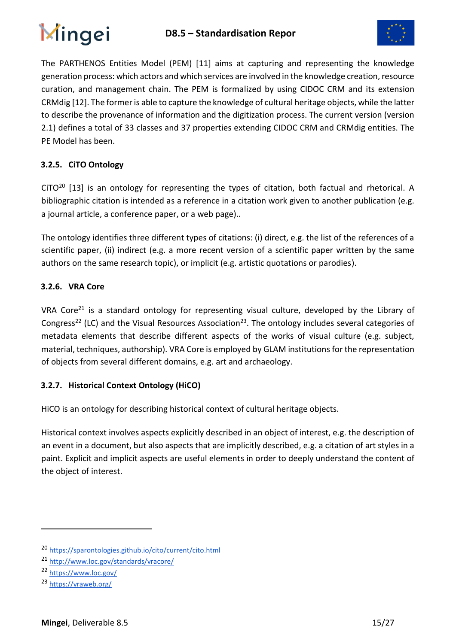



The PARTHENOS Entities Model (PEM) [11] aims at capturing and representing the knowledge generation process: which actors and which services are involved in the knowledge creation, resource curation, and management chain. The PEM is formalized by using CIDOC CRM and its extension CRMdig [12]. The former is able to capture the knowledge of cultural heritage objects, while the latter to describe the provenance of information and the digitization process. The current version (version 2.1) defines a total of 33 classes and 37 properties extending CIDOC CRM and CRMdig entities. The PE Model has been.

#### **3.2.5. CiTO Ontology**

CiTO<sup>20</sup> [13] is an ontology for representing the types of citation, both factual and rhetorical. A bibliographic citation is intended as a reference in a citation work given to another publication (e.g. a journal article, a conference paper, or a web page)..

The ontology identifies three different types of citations: (i) direct, e.g. the list of the references of a scientific paper, (ii) indirect (e.g. a more recent version of a scientific paper written by the same authors on the same research topic), or implicit (e.g. artistic quotations or parodies).

#### **3.2.6. VRA Core**

VRA Core<sup>21</sup> is a standard ontology for representing visual culture, developed by the Library of Congress<sup>22</sup> (LC) and the Visual Resources Association<sup>23</sup>. The ontology includes several categories of metadata elements that describe different aspects of the works of visual culture (e.g. subject, material, techniques, authorship). VRA Core is employed by GLAM institutions for the representation of objects from several different domains, e.g. art and archaeology.

#### **3.2.7. Historical Context Ontology (HiCO)**

HiCO is an ontology for describing historical context of cultural heritage objects.

Historical context involves aspects explicitly described in an object of interest, e.g. the description of an event in a document, but also aspects that are implicitly described, e.g. a citation of art styles in a paint. Explicit and implicit aspects are useful elements in order to deeply understand the content of the object of interest.

<sup>20</sup> <https://sparontologies.github.io/cito/current/cito.html>

<sup>21</sup> <http://www.loc.gov/standards/vracore/>

<sup>22</sup> <https://www.loc.gov/>

<sup>23</sup> <https://vraweb.org/>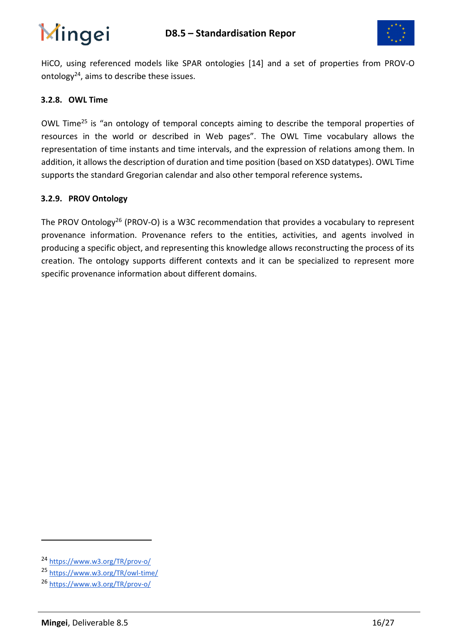

HiCO, using referenced models like SPAR ontologies [14] and a set of properties from PROV-O ontology $^{24}$ , aims to describe these issues.

#### **3.2.8. OWL Time**

OWL Time<sup>25</sup> is "an ontology of temporal concepts aiming to describe the temporal properties of resources in the world or described in Web pages". The OWL Time vocabulary allows the representation of time instants and time intervals, and the expression of relations among them. In addition, it allows the description of duration and time position (based on XSD datatypes). OWL Time supports the standard Gregorian calendar and also other temporal reference systems*.*

#### **3.2.9. PROV Ontology**

<span id="page-15-0"></span>The PROV Ontology<sup>26</sup> (PROV-O) is a W3C recommendation that provides a vocabulary to represent provenance information. Provenance refers to the entities, activities, and agents involved in producing a specific object, and representing this knowledge allows reconstructing the process of its creation. The ontology supports different contexts and it can be specialized to represent more specific provenance information about different domains.

<sup>24</sup> <https://www.w3.org/TR/prov-o/>

<sup>25</sup> <https://www.w3.org/TR/owl-time/>

<sup>26</sup> <https://www.w3.org/TR/prov-o/>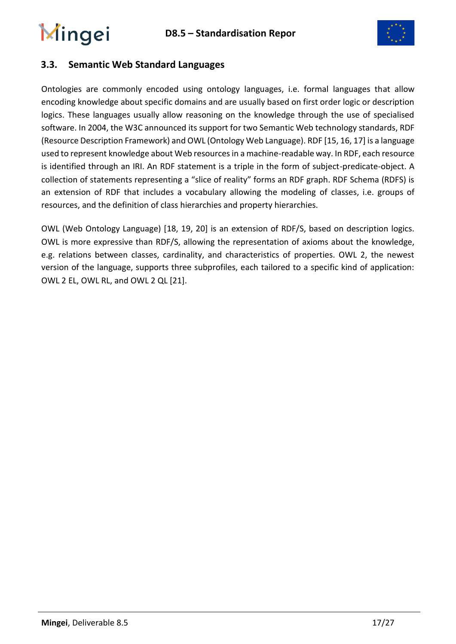

### **3.3. Semantic Web Standard Languages**

Ontologies are commonly encoded using ontology languages, i.e. formal languages that allow encoding knowledge about specific domains and are usually based on first order logic or description logics. These languages usually allow reasoning on the knowledge through the use of specialised software. In 2004, the W3C announced its support for two Semantic Web technology standards, RDF (Resource Description Framework) and OWL (Ontology Web Language). RDF [15, 16, 17] is a language used to represent knowledge about Web resources in a machine-readable way. In RDF, each resource is identified through an IRI. An RDF statement is a triple in the form of subject-predicate-object. A collection of statements representing a "slice of reality" forms an RDF graph. RDF Schema (RDFS) is an extension of RDF that includes a vocabulary allowing the modeling of classes, i.e. groups of resources, and the definition of class hierarchies and property hierarchies.

OWL (Web Ontology Language) [18, 19, 20] is an extension of RDF/S, based on description logics. OWL is more expressive than RDF/S, allowing the representation of axioms about the knowledge, e.g. relations between classes, cardinality, and characteristics of properties. OWL 2, the newest version of the language, supports three subprofiles, each tailored to a specific kind of application: OWL 2 EL, OWL RL, and OWL 2 QL [21].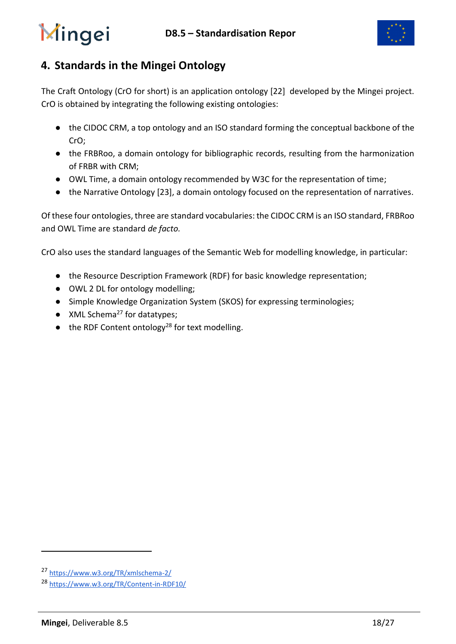

## <span id="page-17-0"></span>**4. Standards in the Mingei Ontology**

The Craft Ontology (CrO for short) is an application ontology [22] developed by the Mingei project. CrO is obtained by integrating the following existing ontologies:

- the CIDOC CRM, a top ontology and an ISO standard forming the conceptual backbone of the CrO;
- the FRBRoo, a domain ontology for bibliographic records, resulting from the harmonization of FRBR with CRM;
- OWL Time, a domain ontology recommended by W3C for the representation of time;
- the Narrative Ontology [23], a domain ontology focused on the representation of narratives.

Of these four ontologies, three are standard vocabularies: the CIDOC CRM is an ISO standard, FRBRoo and OWL Time are standard *de facto.*

CrO also uses the standard languages of the Semantic Web for modelling knowledge, in particular:

- the Resource Description Framework (RDF) for basic knowledge representation;
- OWL 2 DL for ontology modelling;
- Simple Knowledge Organization System (SKOS) for expressing terminologies;
- $\bullet$  XML Schema<sup>27</sup> for datatypes;
- $\bullet$  the RDF Content ontology<sup>28</sup> for text modelling.

<sup>27</sup> <https://www.w3.org/TR/xmlschema-2/>

<sup>28</sup> <https://www.w3.org/TR/Content-in-RDF10/>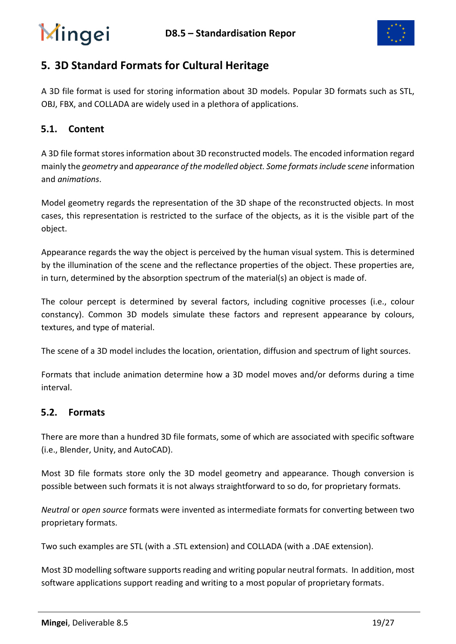

### <span id="page-18-0"></span>**5. 3D Standard Formats for Cultural Heritage**

A 3D file format is used for storing information about 3D models. Popular 3D formats such as STL, OBJ, FBX, and COLLADA are widely used in a plethora of applications.

### **5.1. Content**

A 3D file format stores information about 3D reconstructed models. The encoded information regard mainly the *geometry* and *appearance of the modelled object. Some formats include* s*cene* information and *animations*.

Model geometry regards the representation of the 3D shape of the reconstructed objects. In most cases, this representation is restricted to the surface of the objects, as it is the visible part of the object.

Appearance regards the way the object is perceived by the human visual system. This is determined by the illumination of the scene and the reflectance properties of the object. These properties are, in turn, determined by the absorption spectrum of the material(s) an object is made of.

The colour percept is determined by several factors, including cognitive processes (i.e., colour constancy). Common 3D models simulate these factors and represent appearance by colours, textures, and type of material.

The scene of a 3D model includes the location, orientation, diffusion and spectrum of light sources.

Formats that include animation determine how a 3D model moves and/or deforms during a time interval.

#### **5.2. Formats**

There are more than a hundred 3D file formats, some of which are associated with specific software (i.e., Blender, Unity, and AutoCAD).

Most 3D file formats store only the 3D model geometry and appearance. Though conversion is possible between such formats it is not always straightforward to so do, for proprietary formats.

*Neutral* or *open source* formats were invented as intermediate formats for converting between two proprietary formats.

Two such examples are STL (with a .STL extension) and COLLADA (with a .DAE extension).

Most 3D modelling software supports reading and writing popular neutral formats. In addition, most software applications support reading and writing to a most popular of proprietary formats.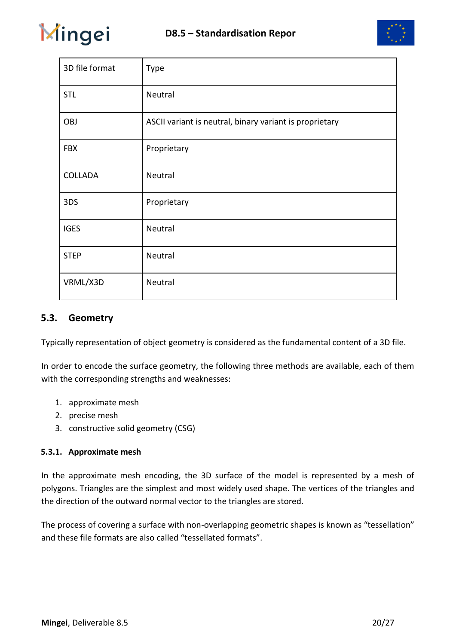



| 3D file format | <b>Type</b>                                             |
|----------------|---------------------------------------------------------|
| <b>STL</b>     | Neutral                                                 |
| <b>OBJ</b>     | ASCII variant is neutral, binary variant is proprietary |
| <b>FBX</b>     | Proprietary                                             |
| COLLADA        | Neutral                                                 |
| 3DS            | Proprietary                                             |
| <b>IGES</b>    | Neutral                                                 |
| <b>STEP</b>    | Neutral                                                 |
| VRML/X3D       | Neutral                                                 |

#### **5.3. Geometry**

Typically representation of object geometry is considered as the fundamental content of a 3D file.

In order to encode the surface geometry, the following three methods are available, each of them with the corresponding strengths and weaknesses:

- 1. approximate mesh
- 2. precise mesh
- 3. constructive solid geometry (CSG)

#### **5.3.1. Approximate mesh**

In the approximate mesh encoding, the 3D surface of the model is represented by a mesh of polygons. Triangles are the simplest and most widely used shape. The vertices of the triangles and the direction of the outward normal vector to the triangles are stored.

The process of covering a surface with non-overlapping geometric shapes is known as "tessellation" and these file formats are also called "tessellated formats".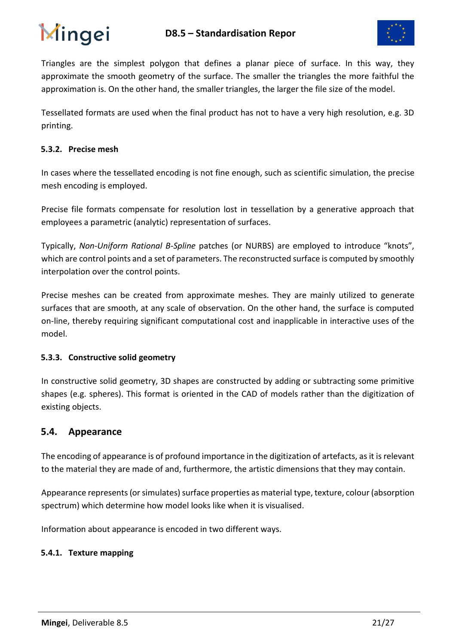



Triangles are the simplest polygon that defines a planar piece of surface. In this way, they approximate the smooth geometry of the surface. The smaller the triangles the more faithful the approximation is. On the other hand, the smaller triangles, the larger the file size of the model.

Tessellated formats are used when the final product has not to have a very high resolution, e.g. 3D printing.

#### **5.3.2. Precise mesh**

In cases where the tessellated encoding is not fine enough, such as scientific simulation, the precise mesh encoding is employed.

Precise file formats compensate for resolution lost in tessellation by a generative approach that employees a parametric (analytic) representation of surfaces.

Typically, *Non-Uniform Rational B-Spline* patches (or NURBS) are employed to introduce "knots", which are control points and a set of parameters. The reconstructed surface is computed by smoothly interpolation over the control points.

Precise meshes can be created from approximate meshes. They are mainly utilized to generate surfaces that are smooth, at any scale of observation. On the other hand, the surface is computed on-line, thereby requiring significant computational cost and inapplicable in interactive uses of the model.

#### **5.3.3. Constructive solid geometry**

In constructive solid geometry, 3D shapes are constructed by adding or subtracting some primitive shapes (e.g. spheres). This format is oriented in the CAD of models rather than the digitization of existing objects.

#### **5.4. Appearance**

The encoding of appearance is of profound importance in the digitization of artefacts, as it is relevant to the material they are made of and, furthermore, the artistic dimensions that they may contain.

Appearance represents (or simulates) surface properties as material type, texture, colour (absorption spectrum) which determine how model looks like when it is visualised.

Information about appearance is encoded in two different ways.

#### **5.4.1. Texture mapping**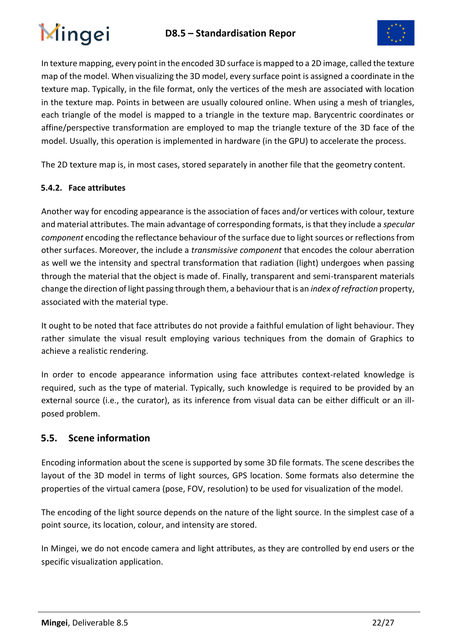

In texture mapping, every point in the encoded 3D surface is mapped to a 2D image, called the texture map of the model. When visualizing the 3D model, every surface point is assigned a coordinate in the texture map. Typically, in the file format, only the vertices of the mesh are associated with location in the texture map. Points in between are usually coloured online. When using a mesh of triangles, each triangle of the model is mapped to a triangle in the texture map. Barycentric coordinates or affine/perspective transformation are employed to map the triangle texture of the 3D face of the model. Usually, this operation is implemented in hardware (in the GPU) to accelerate the process.

The 2D texture map is, in most cases, stored separately in another file that the geometry content.

#### **5.4.2. Face attributes**

Another way for encoding appearance is the association of faces and/or vertices with colour, texture and material attributes. The main advantage of corresponding formats, is that they include a *specular component* encoding the reflectance behaviour of the surface due to light sources or reflections from other surfaces. Moreover, the include a *transmissive component* that encodes the colour aberration as well we the intensity and spectral transformation that radiation (light) undergoes when passing through the material that the object is made of. Finally, transparent and semi-transparent materials change the direction of light passing through them, a behaviour that is an *index of refraction* property, associated with the material type.

It ought to be noted that face attributes do not provide a faithful emulation of light behaviour. They rather simulate the visual result employing various techniques from the domain of Graphics to achieve a realistic rendering.

In order to encode appearance information using face attributes context-related knowledge is required, such as the type of material. Typically, such knowledge is required to be provided by an external source (i.e., the curator), as its inference from visual data can be either difficult or an illposed problem.

### **5.5. Scene information**

Encoding information about the scene is supported by some 3D file formats. The scene describes the layout of the 3D model in terms of light sources, GPS location. Some formats also determine the properties of the virtual camera (pose, FOV, resolution) to be used for visualization of the model.

The encoding of the light source depends on the nature of the light source. In the simplest case of a point source, its location, colour, and intensity are stored.

In Mingei, we do not encode camera and light attributes, as they are controlled by end users or the specific visualization application.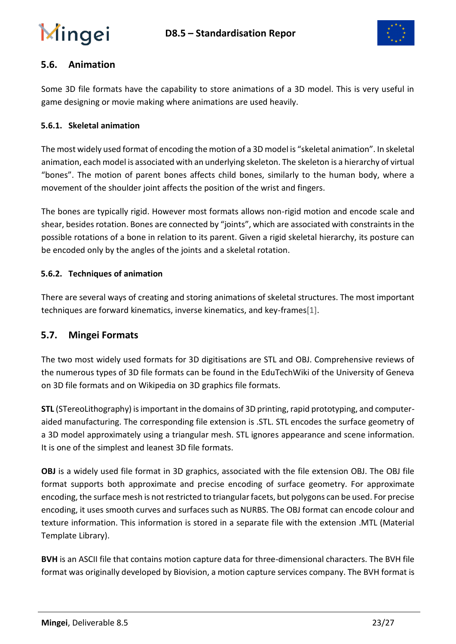

### **5.6. Animation**

Some 3D file formats have the capability to store animations of a 3D model. This is very useful in game designing or movie making where animations are used heavily.

#### **5.6.1. Skeletal animation**

The most widely used format of encoding the motion of a 3D model is "skeletal animation". In skeletal animation, each model is associated with an underlying skeleton. The skeleton is a hierarchy of virtual "bones". The motion of parent bones affects child bones, similarly to the human body, where a movement of the shoulder joint affects the position of the wrist and fingers.

The bones are typically rigid. However most formats allows non-rigid motion and encode scale and shear, besides rotation. Bones are connected by "joints", which are associated with constraints in the possible rotations of a bone in relation to its parent. Given a rigid skeletal hierarchy, its posture can be encoded only by the angles of the joints and a skeletal rotation.

#### **5.6.2. Techniques of animation**

There are several ways of creating and storing animations of skeletal structures. The most important techniques are forward kinematics, inverse kinematics, and key-frames[1].

#### **5.7. Mingei Formats**

The two most widely used formats for 3D digitisations are STL and OBJ. Comprehensive reviews of the numerous types of 3D file formats can be found in the EduTechWiki of the University of Geneva o[n](http://edutechwiki.unige.ch/en/3D_file_format) 3D file formats and on Wikipedia on [3](https://en.wikipedia.org/wiki/Category:3D_graphics_file_formats)D graphics file formats.

**STL** (STereoLithography) is important in the domains of 3D printing, rapid prototyping, and computeraided manufacturing. The corresponding file extension is .STL. STL encodes the surface geometry of a 3D model approximately using a triangular mesh. STL ignores appearance and scene information. It is one of the simplest and leanest 3D file formats.

**OBJ** is a widely used file format in 3D graphics, associated with the file extension OBJ. The OBJ file format supports both approximate and precise encoding of surface geometry. For approximate encoding, the surface mesh is not restricted to triangular facets, but polygons can be used. For precise encoding, it uses smooth curves and surfaces such as NURBS. The OBJ format can encode colour and texture information. This information is stored in a separate file with the extension .MTL (Material Template Library).

**BVH** is an ASCII file that contains motion capture data for three-dimensional characters. The BVH file format was originally developed by Biovision, a motion capture services company. The BVH format is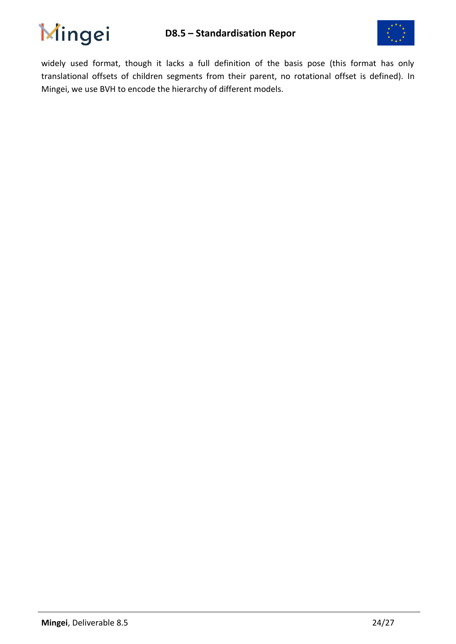



widely used format, though it lacks a full definition of the basis pose (this format has only translational offsets of children segments from their parent, no rotational offset is defined). In Mingei, we use BVH to encode the hierarchy of different models.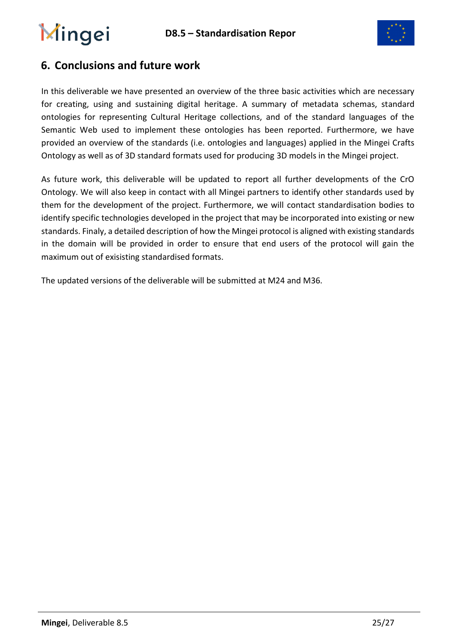

### **6. Conclusions and future work**

In this deliverable we have presented an overview of the three basic activities which are necessary for creating, using and sustaining digital heritage. A summary of metadata schemas, standard ontologies for representing Cultural Heritage collections, and of the standard languages of the Semantic Web used to implement these ontologies has been reported. Furthermore, we have provided an overview of the standards (i.e. ontologies and languages) applied in the Mingei Crafts Ontology as well as of 3D standard formats used for producing 3D models in the Mingei project.

As future work, this deliverable will be updated to report all further developments of the CrO Ontology. We will also keep in contact with all Mingei partners to identify other standards used by them for the development of the project. Furthermore, we will contact standardisation bodies to identify specific technologies developed in the project that may be incorporated into existing or new standards. Finaly, a detailed description of how the Mingei protocol is aligned with existing standards in the domain will be provided in order to ensure that end users of the protocol will gain the maximum out of exisisting standardised formats.

The updated versions of the deliverable will be submitted at M24 and M36.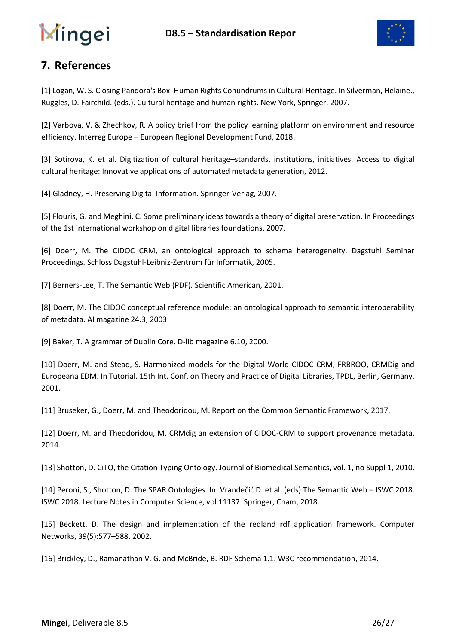

## **7. References**

[1] Logan, W. S. Closing Pandora's Box: Human Rights Conundrums in Cultural Heritage. In Silverman, Helaine., Ruggles, D. Fairchild. (eds.). Cultural heritage and human rights. New York, Springer, 2007.

[2] Varbova, V. & Zhechkov, R. A policy brief from the policy learning platform on environment and resource efficiency. Interreg Europe – European Regional Development Fund, 2018.

[3] Sotirova, K. et al. Digitization of cultural heritage–standards, institutions, initiatives. Access to digital cultural heritage: Innovative applications of automated metadata generation, 2012.

[4] Gladney, H. Preserving Digital Information. Springer-Verlag, 2007.

[5] Flouris, G. and Meghini, C. Some preliminary ideas towards a theory of digital preservation. In Proceedings of the 1st international workshop on digital libraries foundations, 2007.

[6] Doerr, M. The CIDOC CRM, an ontological approach to schema heterogeneity. Dagstuhl Seminar Proceedings. Schloss Dagstuhl-Leibniz-Zentrum für Informatik, 2005.

[7] Berners-Lee, T. The Semantic Web (PDF). Scientific American, 2001.

[8] Doerr, M. The CIDOC conceptual reference module: an ontological approach to semantic interoperability of metadata. AI magazine 24.3, 2003.

[9] Baker, T. A grammar of Dublin Core. D-lib magazine 6.10, 2000.

[10] Doerr, M. and Stead, S. Harmonized models for the Digital World CIDOC CRM, FRBROO, CRMDig and Europeana EDM. In Tutorial. 15th Int. Conf. on Theory and Practice of Digital Libraries, TPDL, Berlin, Germany, 2001.

[11] Bruseker, G., Doerr, M. and Theodoridou, M. Report on the Common Semantic Framework, 2017.

[12] Doerr, M. and Theodoridou, M. CRMdig an extension of CIDOC-CRM to support provenance metadata, 2014.

[13] Shotton, D. CiTO, the Citation Typing Ontology. Journal of Biomedical Semantics, vol. 1, no Suppl 1, 2010.

[14] Peroni, S., Shotton, D. The SPAR Ontologies. In: Vrandečić D. et al. (eds) The Semantic Web – ISWC 2018. ISWC 2018. Lecture Notes in Computer Science, vol 11137. Springer, Cham, 2018.

[15] Beckett, D. The design and implementation of the redland rdf application framework. Computer Networks, 39(5):577–588, 2002.

[16] Brickley, D., Ramanathan V. G. and McBride, B. RDF Schema 1.1. W3C recommendation, 2014.